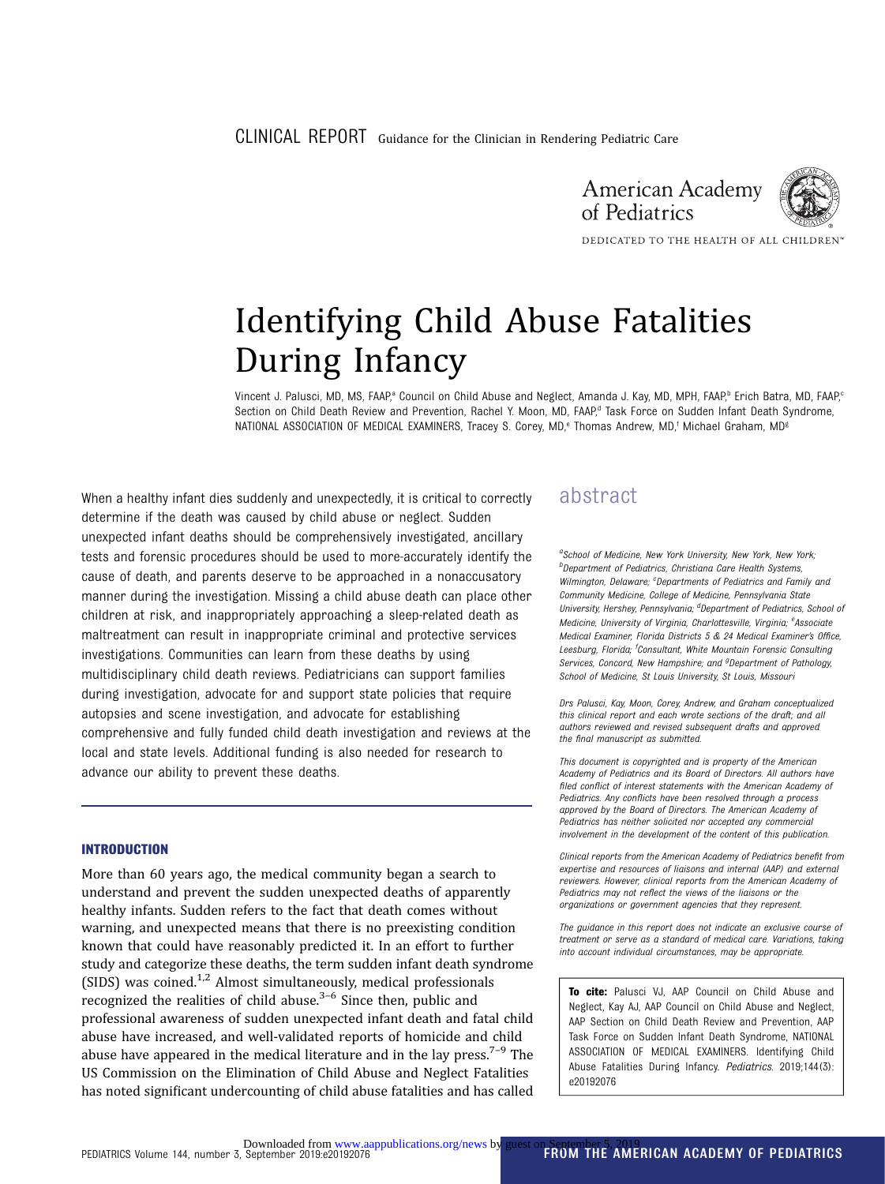CLINICAL REPORT Guidance for the Clinician in Rendering Pediatric Care





DEDICATED TO THE HEALTH OF ALL CHILDREN'

## Identifying Child Abuse Fatalities During Infancy

Vincent J. Palusci, MD, MS, FAAP,<sup>a</sup> Council on Child Abuse and Neglect, Amanda J. Kay, MD, MPH, FAAP,<sup>b</sup> Erich Batra, MD, FAAP,<sup>c</sup> Section on Child Death Review and Prevention, Rachel Y. Moon, MD, FAAP,<sup>d</sup> Task Force on Sudden Infant Death Syndrome, NATIONAL ASSOCIATION OF MEDICAL EXAMINERS, Tracey S. Corey, MD,<sup>e</sup> Thomas Andrew, MD,<sup>f</sup> Michael Graham, MD<sup>g</sup>

When a healthy infant dies suddenly and unexpectedly, it is critical to correctly  $a\bar{b}$ stract determine if the death was caused by child abuse or neglect. Sudden unexpected infant deaths should be comprehensively investigated, ancillary tests and forensic procedures should be used to more-accurately identify the cause of death, and parents deserve to be approached in a nonaccusatory manner during the investigation. Missing a child abuse death can place other children at risk, and inappropriately approaching a sleep-related death as maltreatment can result in inappropriate criminal and protective services investigations. Communities can learn from these deaths by using multidisciplinary child death reviews. Pediatricians can support families during investigation, advocate for and support state policies that require autopsies and scene investigation, and advocate for establishing comprehensive and fully funded child death investigation and reviews at the local and state levels. Additional funding is also needed for research to advance our ability to prevent these deaths.

#### INTRODUCTION

More than 60 years ago, the medical community began a search to understand and prevent the sudden unexpected deaths of apparently healthy infants. Sudden refers to the fact that death comes without warning, and unexpected means that there is no preexisting condition known that could have reasonably predicted it. In an effort to further study and categorize these deaths, the term sudden infant death syndrome (SIDS) was coined.<sup>[1,2](#page-6-0)</sup> Almost simultaneously, medical professionals recognized the realities of child abuse. $3-6$  $3-6$  $3-6$  Since then, public and professional awareness of sudden unexpected infant death and fatal child abuse have increased, and well-validated reports of homicide and child abuse have appeared in the medical literature and in the lay press.<sup> $7-9$  $7-9$ </sup> The US Commission on the Elimination of Child Abuse and Neglect Fatalities has noted significant undercounting of child abuse fatalities and has called

<sup>a</sup>School of Medicine, New York University, New York, New York, **bDepartment of Pediatrics, Christiana Care Health Systems,** Wilmington, Delaware; <sup>c</sup>Departments of Pediatrics and Family and Community Medicine, College of Medicine, Pennsylvania State University, Hershey, Pennsylvania; <sup>d</sup>Department of Pediatrics, School of Medicine, University of Virginia, Charlottesville, Virginia; <sup>e</sup>Associate Medical Examiner, Florida Districts 5 & 24 Medical Examiner's Office, Leesburg, Florida; <sup>f</sup>Consultant, White Mountain Forensic Consulting Services, Concord, New Hampshire; and <sup>g</sup>Department of Pathology, School of Medicine, St Louis University, St Louis, Missouri

Drs Palusci, Kay, Moon, Corey, Andrew, and Graham conceptualized this clinical report and each wrote sections of the draft; and all authors reviewed and revised subsequent drafts and approved the final manuscript as submitted.

This document is copyrighted and is property of the American Academy of Pediatrics and its Board of Directors. All authors have filed conflict of interest statements with the American Academy of Pediatrics. Any conflicts have been resolved through a process approved by the Board of Directors. The American Academy of Pediatrics has neither solicited nor accepted any commercial involvement in the development of the content of this publication.

Clinical reports from the American Academy of Pediatrics benefit from expertise and resources of liaisons and internal (AAP) and external reviewers. However, clinical reports from the American Academy of Pediatrics may not reflect the views of the liaisons or the organizations or government agencies that they represent.

The guidance in this report does not indicate an exclusive course of treatment or serve as a standard of medical care. Variations, taking into account individual circumstances, may be appropriate.

To cite: Palusci VJ, AAP Council on Child Abuse and Neglect, Kay AJ, AAP Council on Child Abuse and Neglect, AAP Section on Child Death Review and Prevention, AAP Task Force on Sudden Infant Death Syndrome, NATIONAL ASSOCIATION OF MEDICAL EXAMINERS. Identifying Child Abuse Fatalities During Infancy. Pediatrics. 2019;144(3): e20192076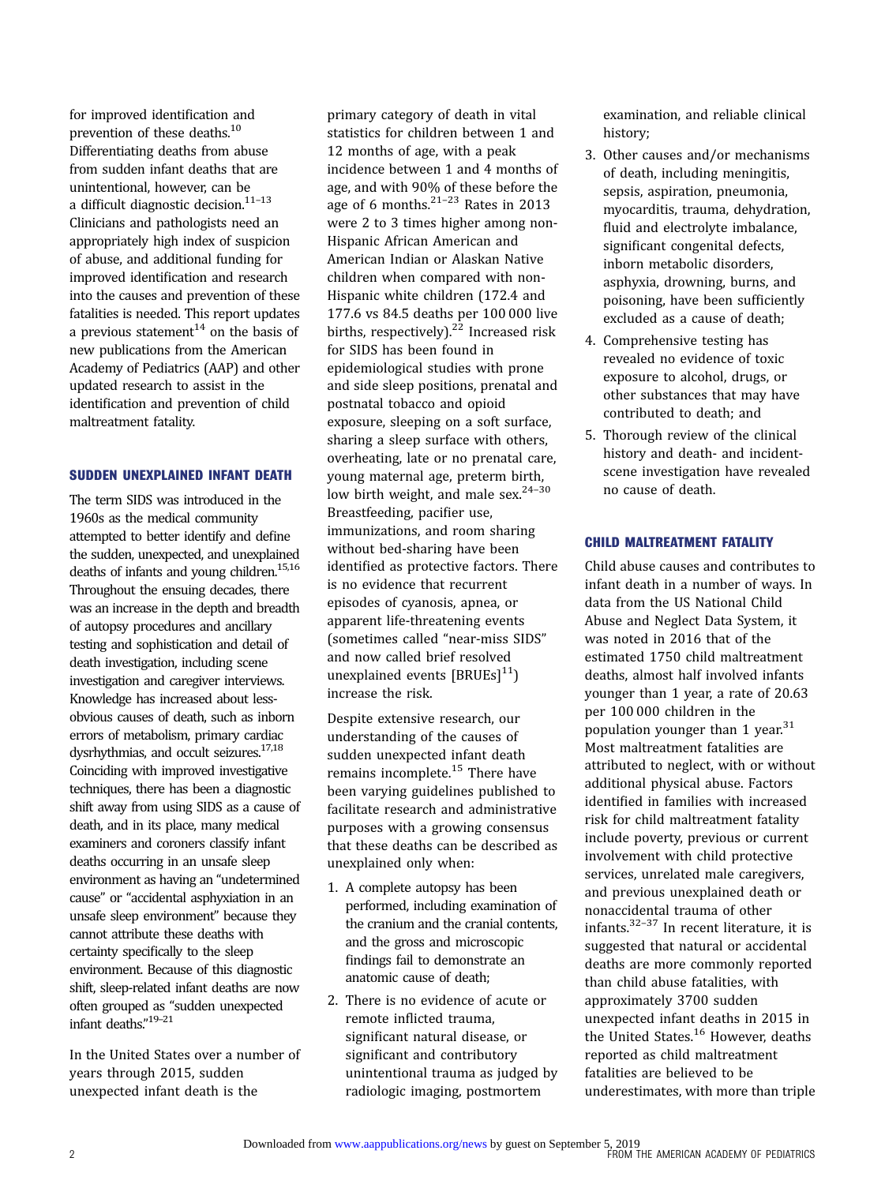for improved identification and prevention of these deaths.<sup>10</sup> Differentiating deaths from abuse from sudden infant deaths that are unintentional, however, can be a difficult diagnostic decision.  $\real^{11-13}$  $\real^{11-13}$  $\real^{11-13}$  $\real^{11-13}$  $\real^{11-13}$ Clinicians and pathologists need an appropriately high index of suspicion of abuse, and additional funding for improved identification and research into the causes and prevention of these fatalities is needed. This report updates a previous statement $14$  on the basis of new publications from the American Academy of Pediatrics (AAP) and other updated research to assist in the identification and prevention of child maltreatment fatality.

#### SUDDEN UNEXPLAINED INFANT DEATH

The term SIDS was introduced in the 1960s as the medical community attempted to better identify and define the sudden, unexpected, and unexplained deaths of infants and young children.<sup>15,16</sup> Throughout the ensuing decades, there was an increase in the depth and breadth of autopsy procedures and ancillary testing and sophistication and detail of death investigation, including scene investigation and caregiver interviews. Knowledge has increased about lessobvious causes of death, such as inborn errors of metabolism, primary cardiac dysrhythmias, and occult seizures[.17,18](#page-6-0) Coinciding with improved investigative techniques, there has been a diagnostic shift away from using SIDS as a cause of death, and in its place, many medical examiners and coroners classify infant deaths occurring in an unsafe sleep environment as having an "undetermined cause" or "accidental asphyxiation in an unsafe sleep environment" because they cannot attribute these deaths with certainty specifically to the sleep environment. Because of this diagnostic shift, sleep-related infant deaths are now often grouped as "sudden unexpected infant deaths." [19](#page-6-0)–[21](#page-6-0)

In the United States over a number of years through 2015, sudden unexpected infant death is the

primary category of death in vital statistics for children between 1 and 12 months of age, with a peak incidence between 1 and 4 months of age, and with 90% of these before the age of 6 months. $21-23$  $21-23$  $21-23$  Rates in 2013 were 2 to 3 times higher among non-Hispanic African American and American Indian or Alaskan Native children when compared with non-Hispanic white children (172.4 and 177.6 vs 84.5 deaths per 100 000 live births, respectively).<sup>[22](#page-6-0)</sup> Increased risk for SIDS has been found in epidemiological studies with prone and side sleep positions, prenatal and postnatal tobacco and opioid exposure, sleeping on a soft surface, sharing a sleep surface with others, overheating, late or no prenatal care, young maternal age, preterm birth, low birth weight, and male sex.<sup>[24](#page-6-0)-[30](#page-7-0)</sup> Breastfeeding, pacifier use, immunizations, and room sharing without bed-sharing have been identified as protective factors. There is no evidence that recurrent episodes of cyanosis, apnea, or apparent life-threatening events (sometimes called "near-miss SIDS" and now called brief resolved unexplained events  $[BRUES]^{11}$  $[BRUES]^{11}$  $[BRUES]^{11}$ increase the risk.

Despite extensive research, our understanding of the causes of sudden unexpected infant death remains incomplete.<sup>[15](#page-6-0)</sup> There have been varying guidelines published to facilitate research and administrative purposes with a growing consensus that these deaths can be described as unexplained only when:

- 1. A complete autopsy has been performed, including examination of the cranium and the cranial contents, and the gross and microscopic findings fail to demonstrate an anatomic cause of death;
- 2. There is no evidence of acute or remote inflicted trauma, significant natural disease, or significant and contributory unintentional trauma as judged by radiologic imaging, postmortem

examination, and reliable clinical history;

- 3. Other causes and/or mechanisms of death, including meningitis, sepsis, aspiration, pneumonia, myocarditis, trauma, dehydration, fluid and electrolyte imbalance, significant congenital defects, inborn metabolic disorders, asphyxia, drowning, burns, and poisoning, have been sufficiently excluded as a cause of death;
- 4. Comprehensive testing has revealed no evidence of toxic exposure to alcohol, drugs, or other substances that may have contributed to death; and
- 5. Thorough review of the clinical history and death- and incidentscene investigation have revealed no cause of death.

#### CHILD MALTREATMENT FATALITY

Child abuse causes and contributes to infant death in a number of ways. In data from the US National Child Abuse and Neglect Data System, it was noted in 2016 that of the estimated 1750 child maltreatment deaths, almost half involved infants younger than 1 year, a rate of 20.63 per 100 000 children in the population younger than 1 year. $31$ Most maltreatment fatalities are attributed to neglect, with or without additional physical abuse. Factors identified in families with increased risk for child maltreatment fatality include poverty, previous or current involvement with child protective services, unrelated male caregivers, and previous unexplained death or nonaccidental trauma of other infants.[32](#page-7-0)–[37](#page-7-0) In recent literature, it is suggested that natural or accidental deaths are more commonly reported than child abuse fatalities, with approximately 3700 sudden unexpected infant deaths in 2015 in the United States.<sup>[16](#page-6-0)</sup> However, deaths reported as child maltreatment fatalities are believed to be underestimates, with more than triple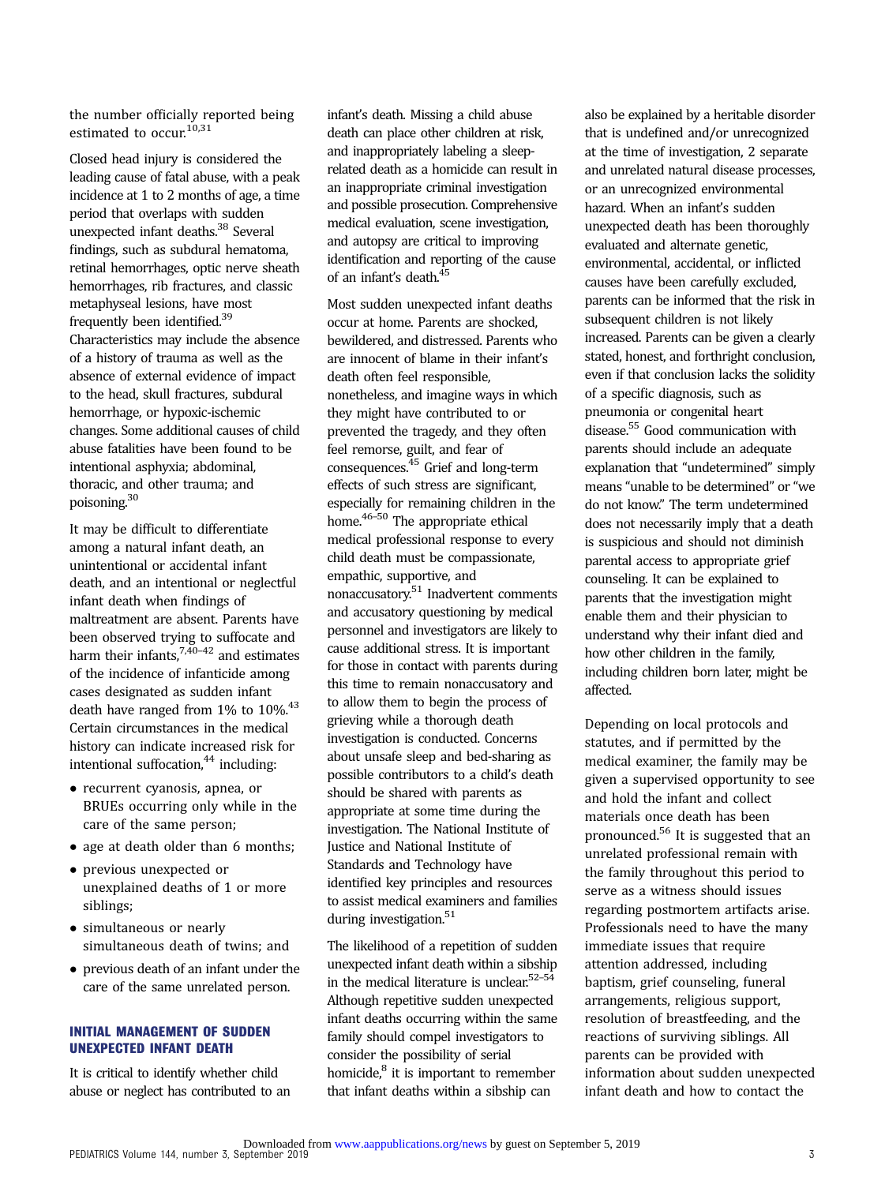the number officially reported being estimated to  $\arctan^{10,31}$  $\arctan^{10,31}$  $\arctan^{10,31}$  $\arctan^{10,31}$ 

Closed head injury is considered the leading cause of fatal abuse, with a peak incidence at 1 to 2 months of age, a time period that overlaps with sudden unexpected infant deaths.<sup>[38](#page-7-0)</sup> Several findings, such as subdural hematoma, retinal hemorrhages, optic nerve sheath hemorrhages, rib fractures, and classic metaphyseal lesions, have most frequently been identified[.39](#page-7-0) Characteristics may include the absence of a history of trauma as well as the absence of external evidence of impact to the head, skull fractures, subdural hemorrhage, or hypoxic-ischemic changes. Some additional causes of child abuse fatalities have been found to be intentional asphyxia; abdominal, thoracic, and other trauma; and poisoning[.30](#page-7-0)

It may be difficult to differentiate among a natural infant death, an unintentional or accidental infant death, and an intentional or neglectful infant death when findings of maltreatment are absent. Parents have been observed trying to suffocate and harm their infants.<sup>7[,40](#page-7-0)-[42](#page-7-0)</sup> and estimates of the incidence of infanticide among cases designated as sudden infant death have ranged from 1% to 10%.<sup>43</sup> Certain circumstances in the medical history can indicate increased risk for intentional suffocation, $44$  including:

- recurrent cyanosis, apnea, or BRUEs occurring only while in the care of the same person;
- age at death older than 6 months;
- previous unexpected or unexplained deaths of 1 or more siblings;
- simultaneous or nearly simultaneous death of twins; and
- previous death of an infant under the care of the same unrelated person.

#### INITIAL MANAGEMENT OF SUDDEN UNEXPECTED INFANT DEATH

It is critical to identify whether child abuse or neglect has contributed to an infant's death. Missing a child abuse death can place other children at risk, and inappropriately labeling a sleeprelated death as a homicide can result in an inappropriate criminal investigation and possible prosecution. Comprehensive medical evaluation, scene investigation, and autopsy are critical to improving identification and reporting of the cause of an infant's death.<sup>45</sup>

Most sudden unexpected infant deaths occur at home. Parents are shocked, bewildered, and distressed. Parents who are innocent of blame in their infant's death often feel responsible, nonetheless, and imagine ways in which they might have contributed to or prevented the tragedy, and they often feel remorse, guilt, and fear of consequences[.45](#page-7-0) Grief and long-term effects of such stress are significant, especially for remaining children in the home.<sup>46–[50](#page-7-0)</sup> The appropriate ethical medical professional response to every child death must be compassionate, empathic, supportive, and nonaccusatory[.51](#page-7-0) Inadvertent comments and accusatory questioning by medical personnel and investigators are likely to cause additional stress. It is important for those in contact with parents during this time to remain nonaccusatory and to allow them to begin the process of grieving while a thorough death investigation is conducted. Concerns about unsafe sleep and bed-sharing as possible contributors to a child's death should be shared with parents as appropriate at some time during the investigation. The National Institute of Justice and National Institute of Standards and Technology have identified key principles and resources to assist medical examiners and families during investigation.<sup>51</sup>

The likelihood of a repetition of sudden unexpected infant death within a sibship in the medical literature is unclear.<sup>52-[54](#page-7-0)</sup> Although repetitive sudden unexpected infant deaths occurring within the same family should compel investigators to consider the possibility of serial homicide, $8$  it is important to remember that infant deaths within a sibship can

also be explained by a heritable disorder that is undefined and/or unrecognized at the time of investigation, 2 separate and unrelated natural disease processes, or an unrecognized environmental hazard. When an infant's sudden unexpected death has been thoroughly evaluated and alternate genetic, environmental, accidental, or inflicted causes have been carefully excluded, parents can be informed that the risk in subsequent children is not likely increased. Parents can be given a clearly stated, honest, and forthright conclusion, even if that conclusion lacks the solidity of a specific diagnosis, such as pneumonia or congenital heart disease[.55](#page-7-0) Good communication with parents should include an adequate explanation that "undetermined" simply means "unable to be determined" or "we do not know." The term undetermined does not necessarily imply that a death is suspicious and should not diminish parental access to appropriate grief counseling. It can be explained to parents that the investigation might enable them and their physician to understand why their infant died and how other children in the family, including children born later, might be affected.

Depending on local protocols and statutes, and if permitted by the medical examiner, the family may be given a supervised opportunity to see and hold the infant and collect materials once death has been pronounced.[56](#page-7-0) It is suggested that an unrelated professional remain with the family throughout this period to serve as a witness should issues regarding postmortem artifacts arise. Professionals need to have the many immediate issues that require attention addressed, including baptism, grief counseling, funeral arrangements, religious support, resolution of breastfeeding, and the reactions of surviving siblings. All parents can be provided with information about sudden unexpected infant death and how to contact the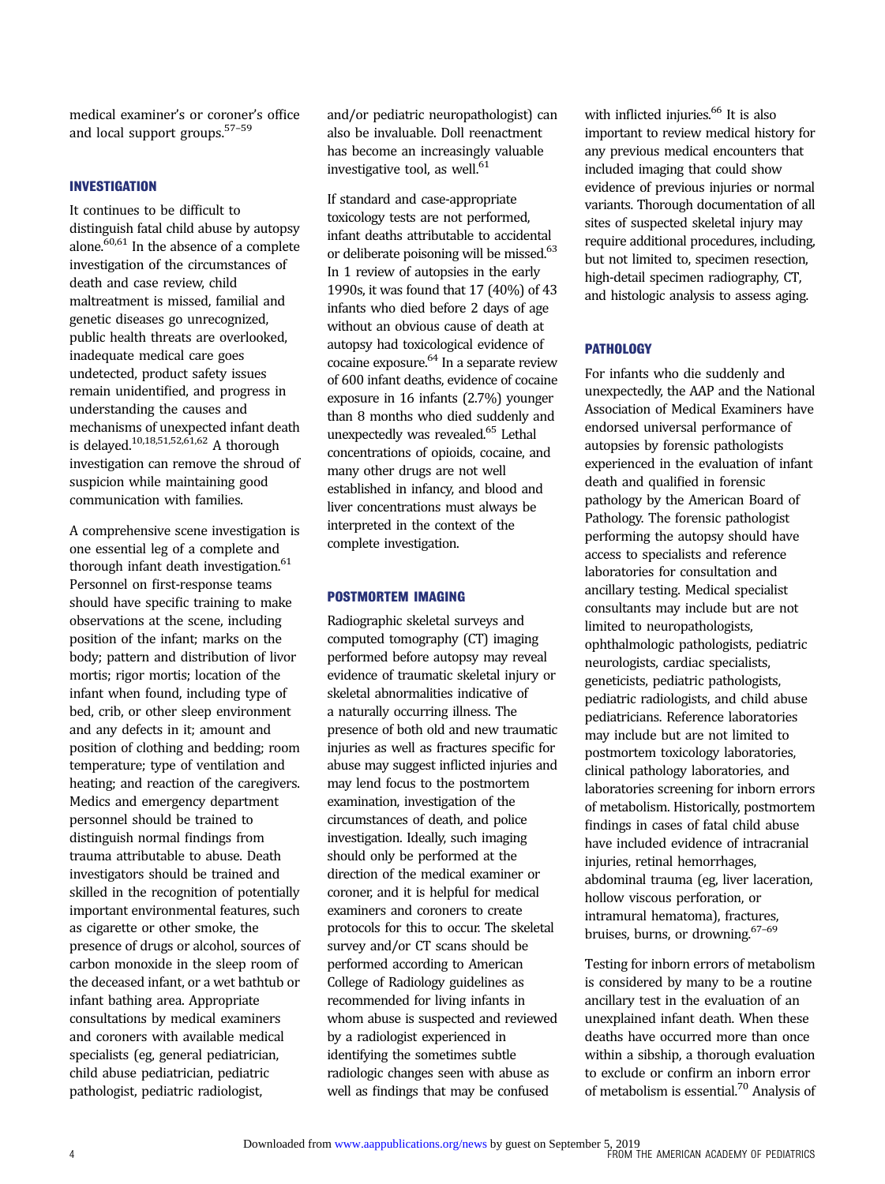medical examiner's or coroner's office and local support groups[.57](#page-7-0)–[59](#page-8-0)

#### INVESTIGATION

It continues to be difficult to distinguish fatal child abuse by autopsy alone. $60,61$  In the absence of a complete investigation of the circumstances of death and case review, child maltreatment is missed, familial and genetic diseases go unrecognized, public health threats are overlooked, inadequate medical care goes undetected, product safety issues remain unidentified, and progress in understanding the causes and mechanisms of unexpected infant death is delayed.<sup>[10,18](#page-6-0)[,51,52](#page-7-0)[,61,62](#page-8-0)</sup> A thorough investigation can remove the shroud of suspicion while maintaining good communication with families.

A comprehensive scene investigation is one essential leg of a complete and thorough infant death investigation.<sup>61</sup> Personnel on first-response teams should have specific training to make observations at the scene, including position of the infant; marks on the body; pattern and distribution of livor mortis; rigor mortis; location of the infant when found, including type of bed, crib, or other sleep environment and any defects in it; amount and position of clothing and bedding; room temperature; type of ventilation and heating; and reaction of the caregivers. Medics and emergency department personnel should be trained to distinguish normal findings from trauma attributable to abuse. Death investigators should be trained and skilled in the recognition of potentially important environmental features, such as cigarette or other smoke, the presence of drugs or alcohol, sources of carbon monoxide in the sleep room of the deceased infant, or a wet bathtub or infant bathing area. Appropriate consultations by medical examiners and coroners with available medical specialists (eg, general pediatrician, child abuse pediatrician, pediatric pathologist, pediatric radiologist,

and/or pediatric neuropathologist) can also be invaluable. Doll reenactment has become an increasingly valuable investigative tool, as well.<sup>61</sup>

If standard and case-appropriate toxicology tests are not performed, infant deaths attributable to accidental or deliberate poisoning will be missed.<sup>63</sup> In 1 review of autopsies in the early 1990s, it was found that 17 (40%) of 43 infants who died before 2 days of age without an obvious cause of death at autopsy had toxicological evidence of cocaine exposure.<sup>64</sup> In a separate review of 600 infant deaths, evidence of cocaine exposure in 16 infants (2.7%) younger than 8 months who died suddenly and unexpectedly was revealed.<sup>65</sup> Lethal concentrations of opioids, cocaine, and many other drugs are not well established in infancy, and blood and liver concentrations must always be interpreted in the context of the complete investigation.

#### POSTMORTEM IMAGING

Radiographic skeletal surveys and computed tomography (CT) imaging performed before autopsy may reveal evidence of traumatic skeletal injury or skeletal abnormalities indicative of a naturally occurring illness. The presence of both old and new traumatic injuries as well as fractures specific for abuse may suggest inflicted injuries and may lend focus to the postmortem examination, investigation of the circumstances of death, and police investigation. Ideally, such imaging should only be performed at the direction of the medical examiner or coroner, and it is helpful for medical examiners and coroners to create protocols for this to occur. The skeletal survey and/or CT scans should be performed according to American College of Radiology guidelines as recommended for living infants in whom abuse is suspected and reviewed by a radiologist experienced in identifying the sometimes subtle radiologic changes seen with abuse as well as findings that may be confused

with inflicted injuries.<sup>66</sup> It is also important to review medical history for any previous medical encounters that included imaging that could show evidence of previous injuries or normal variants. Thorough documentation of all sites of suspected skeletal injury may require additional procedures, including, but not limited to, specimen resection, high-detail specimen radiography, CT, and histologic analysis to assess aging.

#### **PATHOLOGY**

For infants who die suddenly and unexpectedly, the AAP and the National Association of Medical Examiners have endorsed universal performance of autopsies by forensic pathologists experienced in the evaluation of infant death and qualified in forensic pathology by the American Board of Pathology. The forensic pathologist performing the autopsy should have access to specialists and reference laboratories for consultation and ancillary testing. Medical specialist consultants may include but are not limited to neuropathologists, ophthalmologic pathologists, pediatric neurologists, cardiac specialists, geneticists, pediatric pathologists, pediatric radiologists, and child abuse pediatricians. Reference laboratories may include but are not limited to postmortem toxicology laboratories, clinical pathology laboratories, and laboratories screening for inborn errors of metabolism. Historically, postmortem findings in cases of fatal child abuse have included evidence of intracranial injuries, retinal hemorrhages, abdominal trauma (eg, liver laceration, hollow viscous perforation, or intramural hematoma), fractures, bruises, burns, or drowning.<sup>67-[69](#page-8-0)</sup>

Testing for inborn errors of metabolism is considered by many to be a routine ancillary test in the evaluation of an unexplained infant death. When these deaths have occurred more than once within a sibship, a thorough evaluation to exclude or confirm an inborn error of metabolism is essential.[70](#page-8-0) Analysis of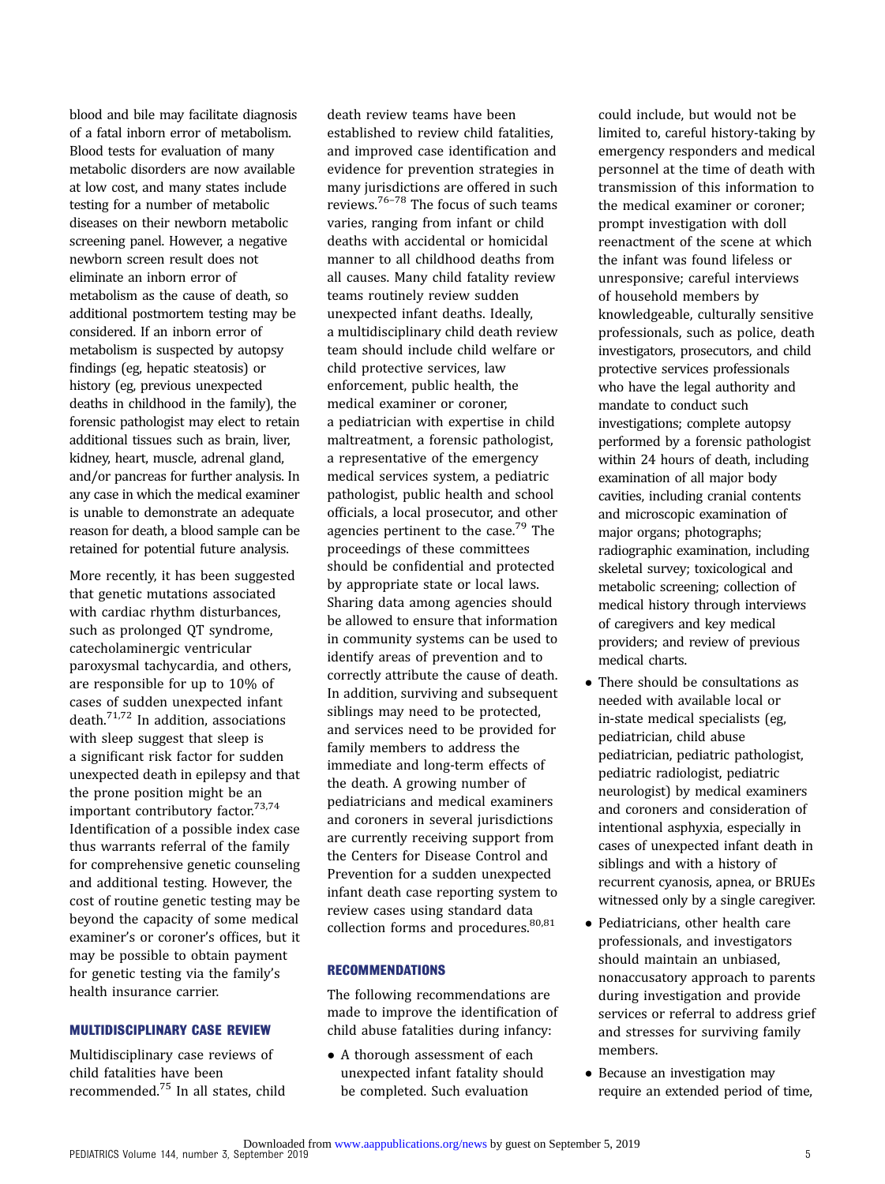blood and bile may facilitate diagnosis of a fatal inborn error of metabolism. Blood tests for evaluation of many metabolic disorders are now available at low cost, and many states include testing for a number of metabolic diseases on their newborn metabolic screening panel. However, a negative newborn screen result does not eliminate an inborn error of metabolism as the cause of death, so additional postmortem testing may be considered. If an inborn error of metabolism is suspected by autopsy findings (eg, hepatic steatosis) or history (eg, previous unexpected deaths in childhood in the family), the forensic pathologist may elect to retain additional tissues such as brain, liver, kidney, heart, muscle, adrenal gland, and/or pancreas for further analysis. In any case in which the medical examiner is unable to demonstrate an adequate reason for death, a blood sample can be retained for potential future analysis.

More recently, it has been suggested that genetic mutations associated with cardiac rhythm disturbances, such as prolonged QT syndrome, catecholaminergic ventricular paroxysmal tachycardia, and others, are responsible for up to 10% of cases of sudden unexpected infant death.[71](#page-8-0),[72](#page-8-0) In addition, associations with sleep suggest that sleep is a significant risk factor for sudden unexpected death in epilepsy and that the prone position might be an important contributory factor.[73,74](#page-8-0) Identification of a possible index case thus warrants referral of the family for comprehensive genetic counseling and additional testing. However, the cost of routine genetic testing may be beyond the capacity of some medical examiner's or coroner's offices, but it may be possible to obtain payment for genetic testing via the family's health insurance carrier.

#### MULTIDISCIPLINARY CASE REVIEW

Multidisciplinary case reviews of child fatalities have been recommended.[75](#page-8-0) In all states, child death review teams have been established to review child fatalities, and improved case identification and evidence for prevention strategies in many jurisdictions are offered in such reviews.[76](#page-8-0)–[78](#page-8-0) The focus of such teams varies, ranging from infant or child deaths with accidental or homicidal manner to all childhood deaths from all causes. Many child fatality review teams routinely review sudden unexpected infant deaths. Ideally, a multidisciplinary child death review team should include child welfare or child protective services, law enforcement, public health, the medical examiner or coroner, a pediatrician with expertise in child maltreatment, a forensic pathologist, a representative of the emergency medical services system, a pediatric pathologist, public health and school officials, a local prosecutor, and other agencies pertinent to the case.<sup>[79](#page-8-0)</sup> The proceedings of these committees should be confidential and protected by appropriate state or local laws. Sharing data among agencies should be allowed to ensure that information in community systems can be used to identify areas of prevention and to correctly attribute the cause of death. In addition, surviving and subsequent siblings may need to be protected, and services need to be provided for family members to address the immediate and long-term effects of the death. A growing number of pediatricians and medical examiners and coroners in several jurisdictions are currently receiving support from the Centers for Disease Control and Prevention for a sudden unexpected infant death case reporting system to review cases using standard data collection forms and procedures.<sup>[80,81](#page-8-0)</sup>

#### RECOMMENDATIONS

The following recommendations are made to improve the identification of child abuse fatalities during infancy:

• A thorough assessment of each unexpected infant fatality should be completed. Such evaluation

could include, but would not be limited to, careful history-taking by emergency responders and medical personnel at the time of death with transmission of this information to the medical examiner or coroner; prompt investigation with doll reenactment of the scene at which the infant was found lifeless or unresponsive; careful interviews of household members by knowledgeable, culturally sensitive professionals, such as police, death investigators, prosecutors, and child protective services professionals who have the legal authority and mandate to conduct such investigations; complete autopsy performed by a forensic pathologist within 24 hours of death, including examination of all major body cavities, including cranial contents and microscopic examination of major organs; photographs; radiographic examination, including skeletal survey; toxicological and metabolic screening; collection of medical history through interviews of caregivers and key medical providers; and review of previous medical charts.

- There should be consultations as needed with available local or in-state medical specialists (eg, pediatrician, child abuse pediatrician, pediatric pathologist, pediatric radiologist, pediatric neurologist) by medical examiners and coroners and consideration of intentional asphyxia, especially in cases of unexpected infant death in siblings and with a history of recurrent cyanosis, apnea, or BRUEs witnessed only by a single caregiver.
- Pediatricians, other health care professionals, and investigators should maintain an unbiased, nonaccusatory approach to parents during investigation and provide services or referral to address grief and stresses for surviving family members.
- Because an investigation may require an extended period of time,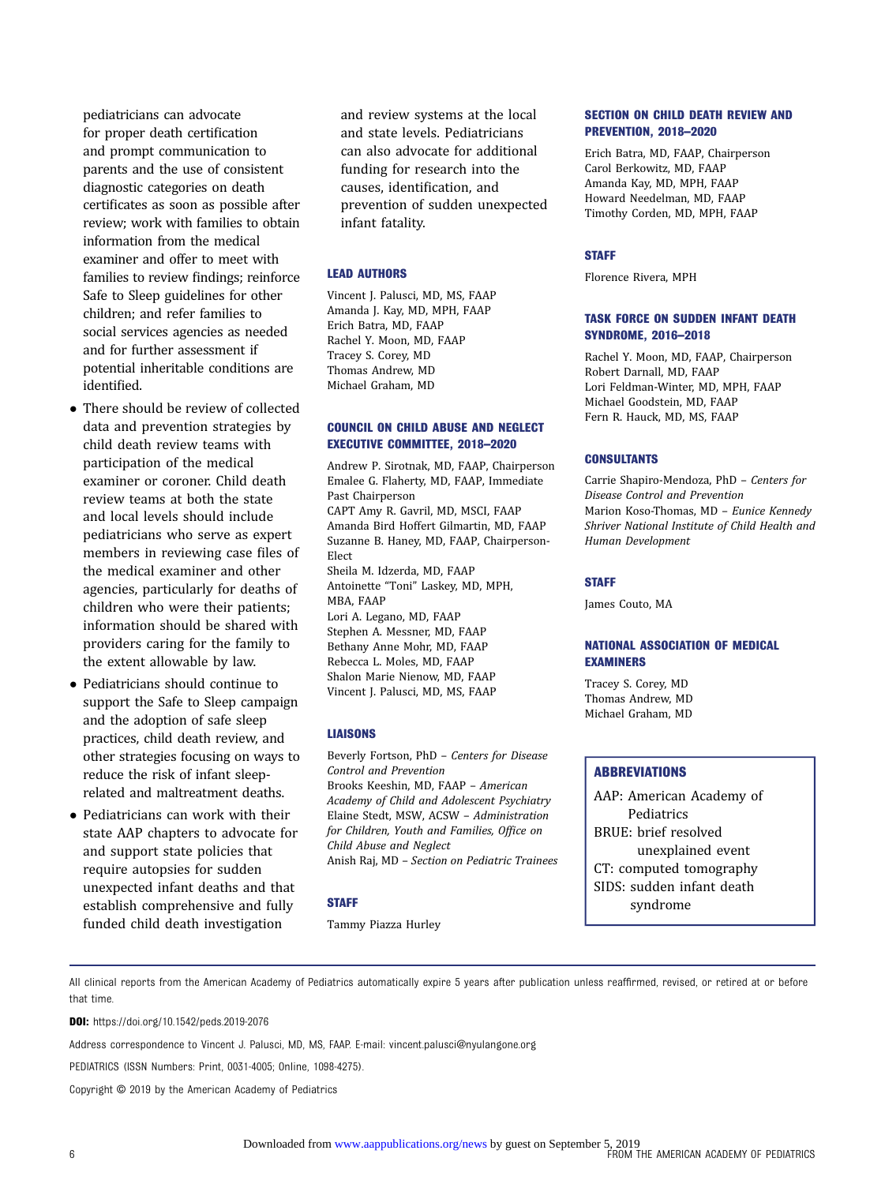pediatricians can advocate for proper death certification and prompt communication to parents and the use of consistent diagnostic categories on death certificates as soon as possible after review; work with families to obtain information from the medical examiner and offer to meet with families to review findings; reinforce Safe to Sleep guidelines for other children; and refer families to social services agencies as needed and for further assessment if potential inheritable conditions are identified.

- There should be review of collected data and prevention strategies by child death review teams with participation of the medical examiner or coroner. Child death review teams at both the state and local levels should include pediatricians who serve as expert members in reviewing case files of the medical examiner and other agencies, particularly for deaths of children who were their patients; information should be shared with providers caring for the family to the extent allowable by law.
- Pediatricians should continue to support the Safe to Sleep campaign and the adoption of safe sleep practices, child death review, and other strategies focusing on ways to reduce the risk of infant sleeprelated and maltreatment deaths.
- Pediatricians can work with their state AAP chapters to advocate for and support state policies that require autopsies for sudden unexpected infant deaths and that establish comprehensive and fully funded child death investigation

and review systems at the local and state levels. Pediatricians can also advocate for additional funding for research into the causes, identification, and prevention of sudden unexpected infant fatality.

#### LEAD AUTHORS

Vincent J. Palusci, MD, MS, FAAP Amanda J. Kay, MD, MPH, FAAP Erich Batra, MD, FAAP Rachel Y. Moon, MD, FAAP Tracey S. Corey, MD Thomas Andrew, MD Michael Graham, MD

#### COUNCIL ON CHILD ABUSE AND NEGLECT EXECUTIVE COMMITTEE, 2018–2020

Andrew P. Sirotnak, MD, FAAP, Chairperson Emalee G. Flaherty, MD, FAAP, Immediate Past Chairperson CAPT Amy R. Gavril, MD, MSCI, FAAP Amanda Bird Hoffert Gilmartin, MD, FAAP Suzanne B. Haney, MD, FAAP, Chairperson-Elect Sheila M. Idzerda, MD, FAAP Antoinette "Toni" Laskey, MD, MPH, MBA, FAAP Lori A. Legano, MD, FAAP Stephen A. Messner, MD, FAAP Bethany Anne Mohr, MD, FAAP Rebecca L. Moles, MD, FAAP Shalon Marie Nienow, MD, FAAP Vincent J. Palusci, MD, MS, FAAP

#### LIAISONS

Beverly Fortson, PhD – Centers for Disease Control and Prevention Brooks Keeshin, MD, FAAP – American Academy of Child and Adolescent Psychiatry Elaine Stedt, MSW, ACSW – Administration for Children, Youth and Families, Office on Child Abuse and Neglect Anish Raj, MD – Section on Pediatric Trainees

#### **STAFF**

Tammy Piazza Hurley

#### SECTION ON CHILD DEATH REVIEW AND PREVENTION, 2018–2020

Erich Batra, MD, FAAP, Chairperson Carol Berkowitz, MD, FAAP Amanda Kay, MD, MPH, FAAP Howard Needelman, MD, FAAP Timothy Corden, MD, MPH, FAAP

#### **STAFF**

Florence Rivera, MPH

#### TASK FORCE ON SUDDEN INFANT DEATH SYNDROME, 2016–2018

Rachel Y. Moon, MD, FAAP, Chairperson Robert Darnall, MD, FAAP Lori Feldman-Winter, MD, MPH, FAAP Michael Goodstein, MD, FAAP Fern R. Hauck, MD, MS, FAAP

#### **CONSULTANTS**

Carrie Shapiro-Mendoza, PhD – Centers for Disease Control and Prevention Marion Koso-Thomas, MD – Eunice Kennedy Shriver National Institute of Child Health and Human Development

#### **STAFF**

James Couto, MA

#### NATIONAL ASSOCIATION OF MEDICAL EXAMINERS

Tracey S. Corey, MD Thomas Andrew, MD Michael Graham, MD

#### **ABBREVIATIONS**

AAP: American Academy of Pediatrics BRUE: brief resolved unexplained event CT: computed tomography SIDS: sudden infant death syndrome

All clinical reports from the American Academy of Pediatrics automatically expire 5 years after publication unless reaffirmed, revised, or retired at or before that time.

DOI: <https://doi.org/10.1542/peds.2019-2076>

Address correspondence to Vincent J. Palusci, MD, MS, FAAP. E-mail: [vincent.palusci@nyulangone.org](mailto:vincent.palusci@nyulangone.org)

PEDIATRICS (ISSN Numbers: Print, 0031-4005; Online, 1098-4275).

Copyright © 2019 by the American Academy of Pediatrics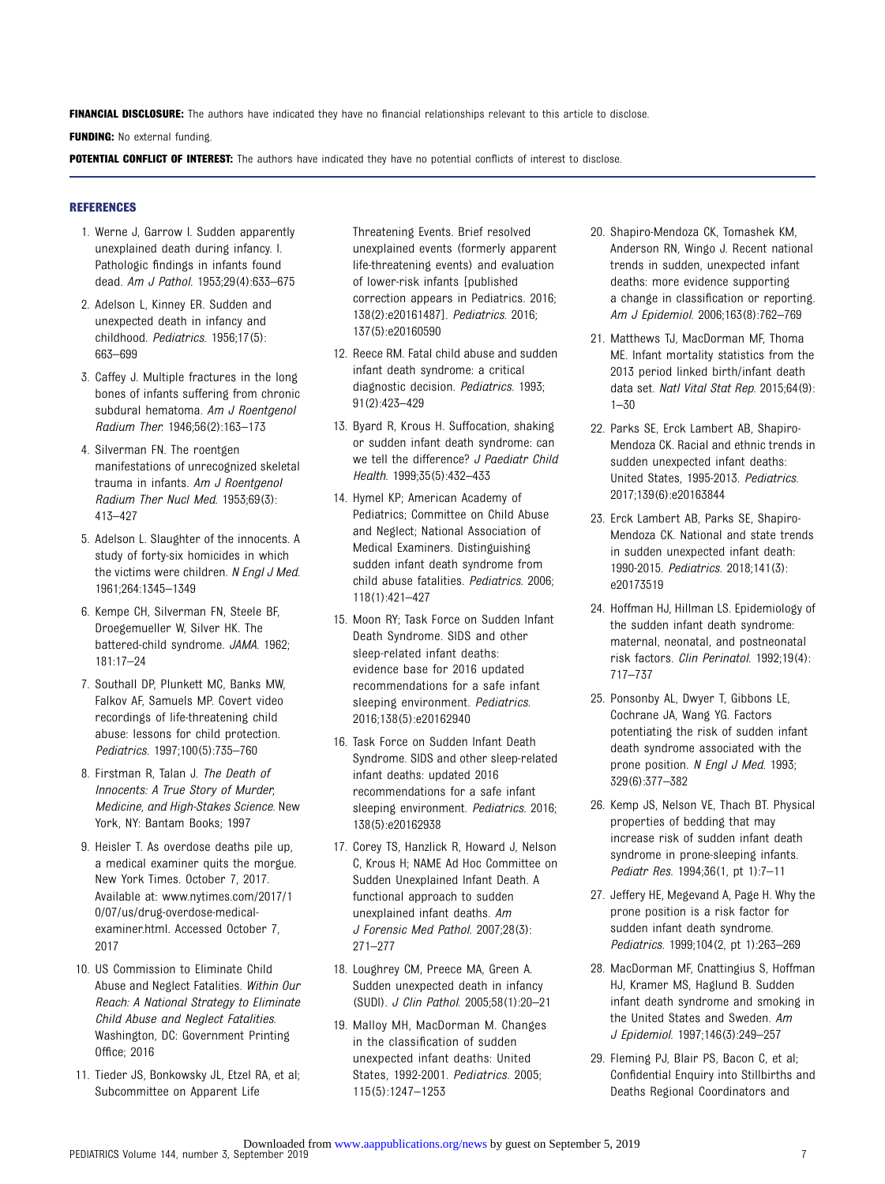<span id="page-6-0"></span>FINANCIAL DISCLOSURE: The authors have indicated they have no financial relationships relevant to this article to disclose.

**FUNDING:** No external funding.

POTENTIAL CONFLICT OF INTEREST: The authors have indicated they have no potential conflicts of interest to disclose.

#### REFERENCES

- 1. Werne J, Garrow I. Sudden apparently unexplained death during infancy. I. Pathologic findings in infants found dead. Am J Pathol. 1953;29(4):633–675
- 2. Adelson L, Kinney ER. Sudden and unexpected death in infancy and childhood. Pediatrics. 1956;17(5): 663–699
- 3. Caffey J. Multiple fractures in the long bones of infants suffering from chronic subdural hematoma. Am J Roentgenol Radium Ther. 1946;56(2):163–173
- 4. Silverman FN. The roentgen manifestations of unrecognized skeletal trauma in infants. Am J Roentgenol Radium Ther Nucl Med. 1953;69(3): 413–427
- 5. Adelson L. Slaughter of the innocents. A study of forty-six homicides in which the victims were children. N Engl J Med. 1961;264:1345–1349
- 6. Kempe CH, Silverman FN, Steele BF, Droegemueller W, Silver HK. The battered-child syndrome. JAMA. 1962; 181:17–24
- 7. Southall DP, Plunkett MC, Banks MW, Falkov AF, Samuels MP. Covert video recordings of life-threatening child abuse: lessons for child protection. Pediatrics. 1997;100(5):735–760
- 8. Firstman R, Talan J. The Death of Innocents: A True Story of Murder, Medicine, and High-Stakes Science. New York, NY: Bantam Books; 1997
- 9. Heisler T. As overdose deaths pile up, a medical examiner quits the morgue. New York Times. October 7, 2017. Available at: [www.nytimes.com/2017/1](http://www.nytimes.com/2017/10/07/us/drug-overdose-medical-examiner.html) [0/07/us/drug-overdose-medical](http://www.nytimes.com/2017/10/07/us/drug-overdose-medical-examiner.html)[examiner.html](http://www.nytimes.com/2017/10/07/us/drug-overdose-medical-examiner.html). Accessed October 7, 2017
- 10. US Commission to Eliminate Child Abuse and Neglect Fatalities. Within Our Reach: A National Strategy to Eliminate Child Abuse and Neglect Fatalities. Washington, DC: Government Printing Office; 2016
- 11. Tieder JS, Bonkowsky JL, Etzel RA, et al; Subcommittee on Apparent Life

Threatening Events. Brief resolved unexplained events (formerly apparent life-threatening events) and evaluation of lower-risk infants [published correction appears in Pediatrics. 2016; 138(2):e20161487]. Pediatrics. 2016; 137(5):e20160590

- 12. Reece RM. Fatal child abuse and sudden infant death syndrome: a critical diagnostic decision. Pediatrics. 1993; 91(2):423–429
- 13. Byard R, Krous H. Suffocation, shaking or sudden infant death syndrome: can we tell the difference? J Paediatr Child Health. 1999;35(5):432–433
- 14. Hymel KP; American Academy of Pediatrics; Committee on Child Abuse and Neglect; National Association of Medical Examiners. Distinguishing sudden infant death syndrome from child abuse fatalities. Pediatrics. 2006; 118(1):421–427
- 15. Moon RY; Task Force on Sudden Infant Death Syndrome. SIDS and other sleep-related infant deaths: evidence base for 2016 updated recommendations for a safe infant sleeping environment. Pediatrics. 2016;138(5):e20162940
- 16. Task Force on Sudden Infant Death Syndrome. SIDS and other sleep-related infant deaths: updated 2016 recommendations for a safe infant sleeping environment. Pediatrics. 2016; 138(5):e20162938
- 17. Corey TS, Hanzlick R, Howard J, Nelson C, Krous H; NAME Ad Hoc Committee on Sudden Unexplained Infant Death. A functional approach to sudden unexplained infant deaths. Am J Forensic Med Pathol. 2007;28(3): 271–277
- 18. Loughrey CM, Preece MA, Green A. Sudden unexpected death in infancy (SUDI). J Clin Pathol. 2005;58(1):20–21
- 19. Malloy MH, MacDorman M. Changes in the classification of sudden unexpected infant deaths: United States, 1992-2001. Pediatrics. 2005; 115(5):1247–1253
- 20. Shapiro-Mendoza CK, Tomashek KM, Anderson RN, Wingo J. Recent national trends in sudden, unexpected infant deaths: more evidence supporting a change in classification or reporting. Am J Epidemiol. 2006;163(8):762–769
- 21. Matthews TJ, MacDorman MF, Thoma ME. Infant mortality statistics from the 2013 period linked birth/infant death data set. Natl Vital Stat Rep. 2015;64(9): 1–30
- 22. Parks SE, Erck Lambert AB, Shapiro-Mendoza CK. Racial and ethnic trends in sudden unexpected infant deaths: United States, 1995-2013. Pediatrics. 2017;139(6):e20163844
- 23. Erck Lambert AB, Parks SE, Shapiro-Mendoza CK. National and state trends in sudden unexpected infant death: 1990-2015. Pediatrics. 2018;141(3): e20173519
- 24. Hoffman HJ, Hillman LS. Epidemiology of the sudden infant death syndrome: maternal, neonatal, and postneonatal risk factors. Clin Perinatol. 1992;19(4): 717–737
- 25. Ponsonby AL, Dwyer T, Gibbons LE, Cochrane JA, Wang YG. Factors potentiating the risk of sudden infant death syndrome associated with the prone position. N Engl J Med. 1993; 329(6):377–382
- 26. Kemp JS, Nelson VE, Thach BT. Physical properties of bedding that may increase risk of sudden infant death syndrome in prone-sleeping infants. Pediatr Res. 1994;36(1, pt 1):7–11
- 27. Jeffery HE, Megevand A, Page H. Why the prone position is a risk factor for sudden infant death syndrome. Pediatrics. 1999;104(2, pt 1):263–269
- 28. MacDorman MF, Cnattingius S, Hoffman HJ, Kramer MS, Haglund B. Sudden infant death syndrome and smoking in the United States and Sweden. Am J Epidemiol. 1997;146(3):249–257
- 29. Fleming PJ, Blair PS, Bacon C, et al; Confidential Enquiry into Stillbirths and Deaths Regional Coordinators and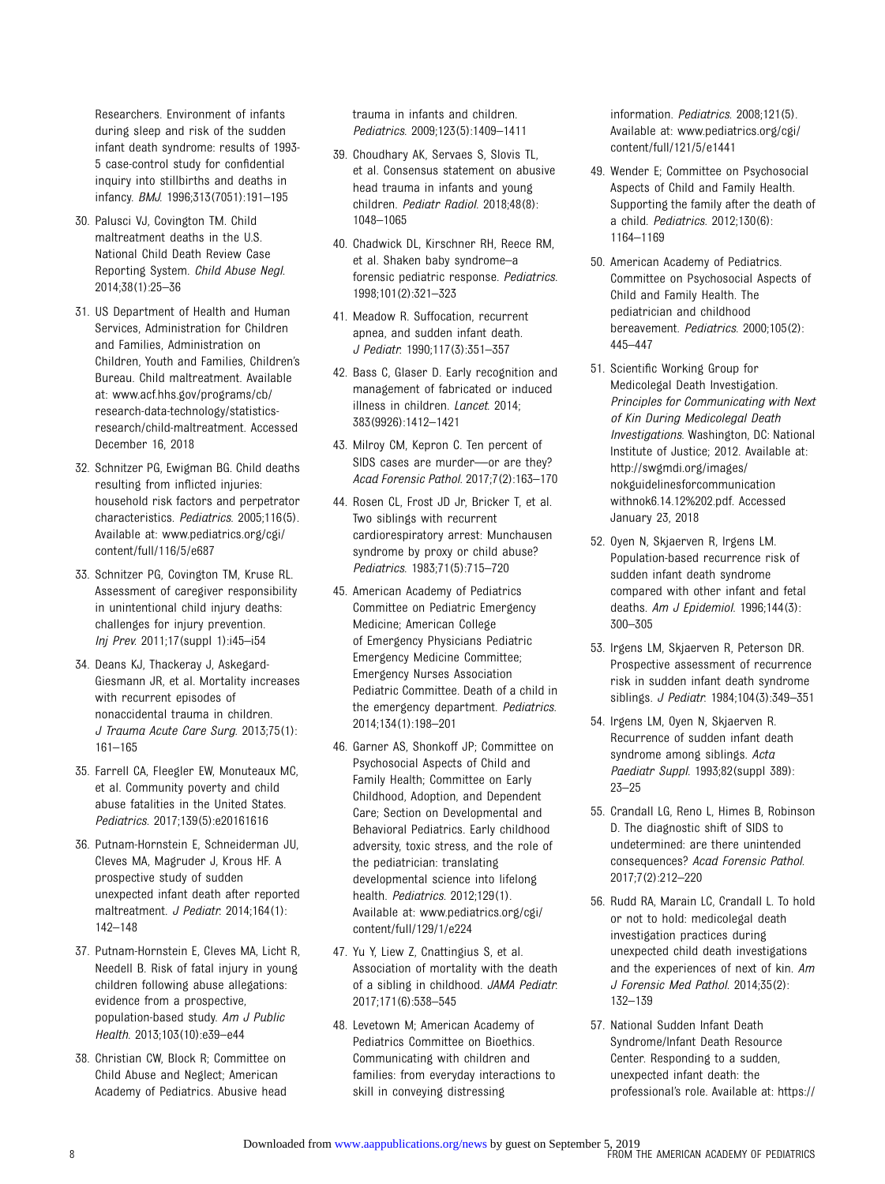<span id="page-7-0"></span>Researchers. Environment of infants during sleep and risk of the sudden infant death syndrome: results of 1993- 5 case-control study for confidential inquiry into stillbirths and deaths in infancy. BMJ. 1996;313(7051):191–195

- 30. Palusci VJ, Covington TM. Child maltreatment deaths in the U.S. National Child Death Review Case Reporting System. Child Abuse Negl. 2014;38(1):25–36
- 31. US Department of Health and Human Services, Administration for Children and Families, Administration on Children, Youth and Families, Children's Bureau. Child maltreatment. Available at: [www.acf.hhs.gov/programs/cb/](http://www.acf.hhs.gov/programs/cb/research-data-technology/statistics-research/child-maltreatment) [research-data-technology/statistics](http://www.acf.hhs.gov/programs/cb/research-data-technology/statistics-research/child-maltreatment)[research/child-maltreatment](http://www.acf.hhs.gov/programs/cb/research-data-technology/statistics-research/child-maltreatment). Accessed December 16, 2018
- 32. Schnitzer PG, Ewigman BG. Child deaths resulting from inflicted injuries: household risk factors and perpetrator characteristics. Pediatrics. 2005;116(5). Available at: [www.pediatrics.org/cgi/](http://www.pediatrics.org/cgi/content/FUll/116/5/e687) [content/full/116/5/e687](http://www.pediatrics.org/cgi/content/FUll/116/5/e687)
- 33. Schnitzer PG, Covington TM, Kruse RL. Assessment of caregiver responsibility in unintentional child injury deaths: challenges for injury prevention. Inj Prev. 2011;17(suppl 1):i45–i54
- 34. Deans KJ, Thackeray J, Askegard-Giesmann JR, et al. Mortality increases with recurrent episodes of nonaccidental trauma in children. J Trauma Acute Care Surg. 2013;75(1): 161–165
- 35. Farrell CA, Fleegler EW, Monuteaux MC, et al. Community poverty and child abuse fatalities in the United States. Pediatrics. 2017;139(5):e20161616
- 36. Putnam-Hornstein E, Schneiderman JU, Cleves MA, Magruder J, Krous HF. A prospective study of sudden unexpected infant death after reported maltreatment. J Pediatr. 2014;164(1): 142–148
- 37. Putnam-Hornstein E, Cleves MA, Licht R, Needell B. Risk of fatal injury in young children following abuse allegations: evidence from a prospective, population-based study. Am J Public Health. 2013;103(10):e39–e44
- 38. Christian CW, Block R; Committee on Child Abuse and Neglect; American Academy of Pediatrics. Abusive head

trauma in infants and children. Pediatrics. 2009;123(5):1409–1411

- 39. Choudhary AK, Servaes S, Slovis TL, et al. Consensus statement on abusive head trauma in infants and young children. Pediatr Radiol. 2018;48(8): 1048–1065
- 40. Chadwick DL, Kirschner RH, Reece RM, et al. Shaken baby syndrome–a forensic pediatric response. Pediatrics. 1998;101(2):321–323
- 41. Meadow R. Suffocation, recurrent apnea, and sudden infant death. J Pediatr. 1990;117(3):351–357
- 42. Bass C, Glaser D. Early recognition and management of fabricated or induced illness in children. Lancet. 2014; 383(9926):1412–1421
- 43. Milroy CM, Kepron C. Ten percent of SIDS cases are murder—or are they? Acad Forensic Pathol. 2017;7(2):163–170
- 44. Rosen CL, Frost JD Jr, Bricker T, et al. Two siblings with recurrent cardiorespiratory arrest: Munchausen syndrome by proxy or child abuse? Pediatrics. 1983;71(5):715–720
- 45. American Academy of Pediatrics Committee on Pediatric Emergency Medicine; American College of Emergency Physicians Pediatric Emergency Medicine Committee; Emergency Nurses Association Pediatric Committee. Death of a child in the emergency department. Pediatrics. 2014;134(1):198–201
- 46. Garner AS, Shonkoff JP; Committee on Psychosocial Aspects of Child and Family Health; Committee on Early Childhood, Adoption, and Dependent Care; Section on Developmental and Behavioral Pediatrics. Early childhood adversity, toxic stress, and the role of the pediatrician: translating developmental science into lifelong health. Pediatrics. 2012;129(1). Available at: [www.pediatrics.org/cgi/](http://www.pediatrics.org/cgi/content/FUll/129/1/e224) [content/full/129/1/e224](http://www.pediatrics.org/cgi/content/FUll/129/1/e224)
- 47. Yu Y, Liew Z, Cnattingius S, et al. Association of mortality with the death of a sibling in childhood. JAMA Pediatr. 2017;171(6):538–545
- 48. Levetown M; American Academy of Pediatrics Committee on Bioethics. Communicating with children and families: from everyday interactions to skill in conveying distressing

information. Pediatrics. 2008;121(5). Available at: [www.pediatrics.org/cgi/](http://www.pediatrics.org/cgi/content/FUll/121/5/e1441) [content/full/121/5/e1441](http://www.pediatrics.org/cgi/content/FUll/121/5/e1441)

- 49. Wender E; Committee on Psychosocial Aspects of Child and Family Health. Supporting the family after the death of a child. Pediatrics. 2012;130(6): 1164–1169
- 50. American Academy of Pediatrics. Committee on Psychosocial Aspects of Child and Family Health. The pediatrician and childhood bereavement. Pediatrics. 2000;105(2): 445–447
- 51. Scientific Working Group for Medicolegal Death Investigation. Principles for Communicating with Next of Kin During Medicolegal Death Investigations. Washington, DC: National Institute of Justice; 2012. Available at: [http://swgmdi.org/images/](http://swgmdi.org/images/nokguidelinesforcommunicationwithnok6.14.12%202.pdf) [nokguidelinesforcommunication](http://swgmdi.org/images/nokguidelinesforcommunicationwithnok6.14.12%202.pdf) [withnok6.14.12%202.pdf.](http://swgmdi.org/images/nokguidelinesforcommunicationwithnok6.14.12%202.pdf) Accessed January 23, 2018
- 52. Oyen N, Skjaerven R, Irgens LM. Population-based recurrence risk of sudden infant death syndrome compared with other infant and fetal deaths. Am J Epidemiol. 1996;144(3): 300–305
- 53. Irgens LM, Skjaerven R, Peterson DR. Prospective assessment of recurrence risk in sudden infant death syndrome siblings. J Pediatr. 1984;104(3):349–351
- 54. Irgens LM, Oyen N, Skjaerven R. Recurrence of sudden infant death syndrome among siblings. Acta Paediatr Suppl. 1993;82(suppl 389): 23–25
- 55. Crandall LG, Reno L, Himes B, Robinson D. The diagnostic shift of SIDS to undetermined: are there unintended consequences? Acad Forensic Pathol. 2017;7(2):212–220
- 56. Rudd RA, Marain LC, Crandall L. To hold or not to hold: medicolegal death investigation practices during unexpected child death investigations and the experiences of next of kin. Am J Forensic Med Pathol. 2014;35(2): 132–139
- 57. National Sudden Infant Death Syndrome/Infant Death Resource Center. Responding to a sudden, unexpected infant death: the professional's role. Available at: [https://](https://www.ncemch.org/suid-sids/documents/SIDRC/ProfessionalRole.pdf)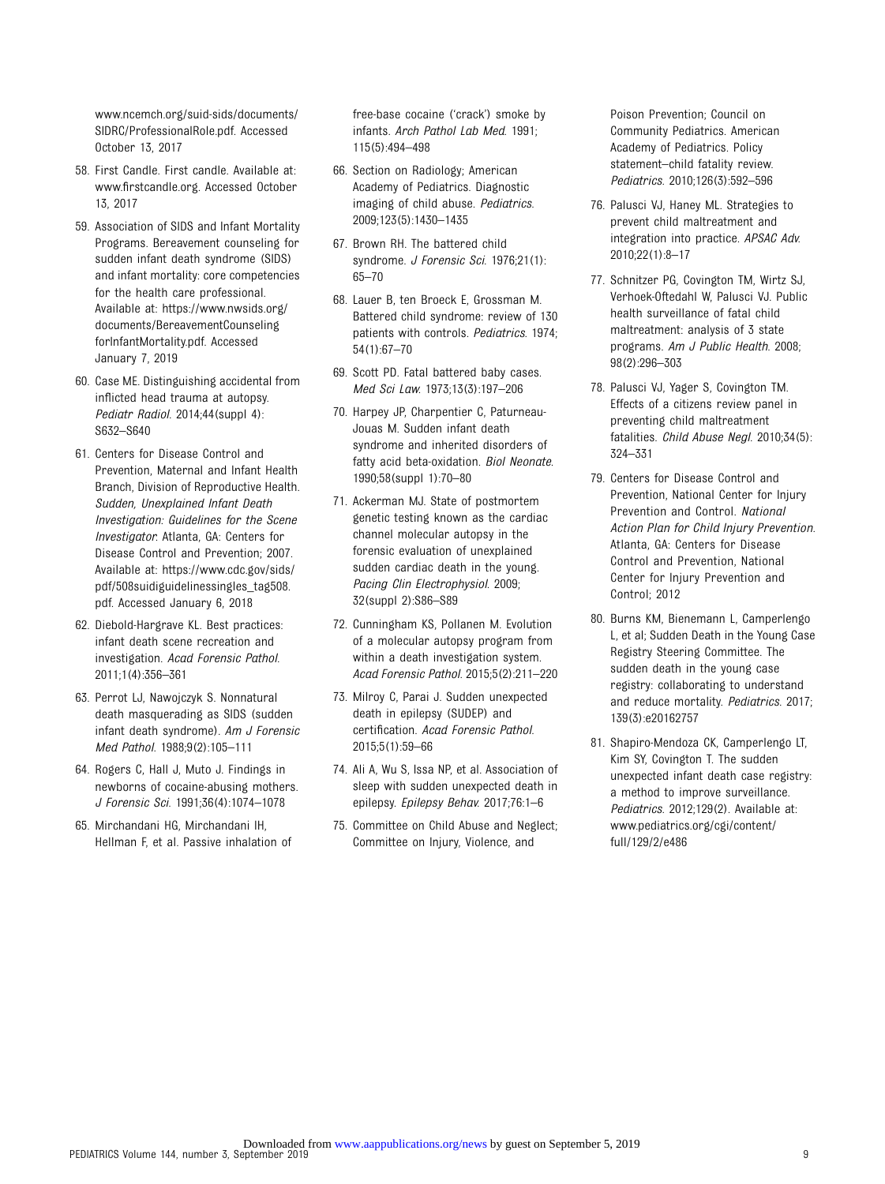<span id="page-8-0"></span>[www.ncemch.org/suid-sids/documents/](https://www.ncemch.org/suid-sids/documents/SIDRC/ProfessionalRole.pdf) [SIDRC/ProfessionalRole.pdf.](https://www.ncemch.org/suid-sids/documents/SIDRC/ProfessionalRole.pdf) Accessed October 13, 2017

- 58. First Candle. First candle. Available at: www.fi[rstcandle.org](http://www.firstcandle.org). Accessed October 13, 2017
- 59. Association of SIDS and Infant Mortality Programs. Bereavement counseling for sudden infant death syndrome (SIDS) and infant mortality: core competencies for the health care professional. Available at: [https://www.nwsids.org/](https://www.nwsids.org/documents/BereavementCounselingforInfantMortality.pdf) [documents/BereavementCounseling](https://www.nwsids.org/documents/BereavementCounselingforInfantMortality.pdf) [forInfantMortality.pdf.](https://www.nwsids.org/documents/BereavementCounselingforInfantMortality.pdf) Accessed January 7, 2019
- 60. Case ME. Distinguishing accidental from inflicted head trauma at autopsy. Pediatr Radiol. 2014;44(suppl 4): S632–S640
- 61. Centers for Disease Control and Prevention, Maternal and Infant Health Branch, Division of Reproductive Health. Sudden, Unexplained Infant Death Investigation: Guidelines for the Scene Investigator. Atlanta, GA: Centers for Disease Control and Prevention; 2007. Available at: [https://www.cdc.gov/sids/](https://www.cdc.gov/sids/pdf/508suidiguidelinessingles_tag508.pdf) [pdf/508suidiguidelinessingles\\_tag508.](https://www.cdc.gov/sids/pdf/508suidiguidelinessingles_tag508.pdf) [pdf.](https://www.cdc.gov/sids/pdf/508suidiguidelinessingles_tag508.pdf) Accessed January 6, 2018
- 62. Diebold-Hargrave KL. Best practices: infant death scene recreation and investigation. Acad Forensic Pathol. 2011;1(4):356–361
- 63. Perrot LJ, Nawojczyk S. Nonnatural death masquerading as SIDS (sudden infant death syndrome). Am J Forensic Med Pathol. 1988;9(2):105–111
- 64. Rogers C, Hall J, Muto J. Findings in newborns of cocaine-abusing mothers. J Forensic Sci. 1991;36(4):1074–1078
- 65. Mirchandani HG, Mirchandani IH, Hellman F, et al. Passive inhalation of

free-base cocaine ('crack') smoke by infants. Arch Pathol Lab Med. 1991; 115(5):494–498

- 66. Section on Radiology; American Academy of Pediatrics. Diagnostic imaging of child abuse. Pediatrics. 2009;123(5):1430–1435
- 67. Brown RH. The battered child syndrome. J Forensic Sci. 1976;21(1): 65–70
- 68. Lauer B, ten Broeck E, Grossman M. Battered child syndrome: review of 130 patients with controls. Pediatrics. 1974; 54(1):67–70
- 69. Scott PD. Fatal battered baby cases. Med Sci Law. 1973;13(3):197–206
- 70. Harpey JP, Charpentier C, Paturneau-Jouas M. Sudden infant death syndrome and inherited disorders of fatty acid beta-oxidation. Biol Neonate. 1990;58(suppl 1):70–80
- 71. Ackerman MJ. State of postmortem genetic testing known as the cardiac channel molecular autopsy in the forensic evaluation of unexplained sudden cardiac death in the young. Pacing Clin Electrophysiol. 2009; 32(suppl 2):S86–S89
- 72. Cunningham KS, Pollanen M. Evolution of a molecular autopsy program from within a death investigation system. Acad Forensic Pathol. 2015;5(2):211–220
- 73. Milroy C, Parai J. Sudden unexpected death in epilepsy (SUDEP) and certification. Acad Forensic Pathol. 2015;5(1):59–66
- 74. Ali A, Wu S, Issa NP, et al. Association of sleep with sudden unexpected death in epilepsy. Epilepsy Behav. 2017;76:1–6
- 75. Committee on Child Abuse and Neglect; Committee on Injury, Violence, and

Poison Prevention; Council on Community Pediatrics. American Academy of Pediatrics. Policy statement–child fatality review. Pediatrics. 2010;126(3):592–596

- 76. Palusci VJ, Haney ML. Strategies to prevent child maltreatment and integration into practice. APSAC Adv. 2010;22(1):8–17
- 77. Schnitzer PG, Covington TM, Wirtz SJ, Verhoek-Oftedahl W, Palusci VJ. Public health surveillance of fatal child maltreatment: analysis of 3 state programs. Am J Public Health. 2008; 98(2):296–303
- 78. Palusci VJ, Yager S, Covington TM. Effects of a citizens review panel in preventing child maltreatment fatalities. Child Abuse Negl. 2010;34(5): 324–331
- 79. Centers for Disease Control and Prevention, National Center for Injury Prevention and Control. National Action Plan for Child Injury Prevention. Atlanta, GA: Centers for Disease Control and Prevention, National Center for Injury Prevention and Control; 2012
- 80. Burns KM, Bienemann L, Camperlengo L, et al; Sudden Death in the Young Case Registry Steering Committee. The sudden death in the young case registry: collaborating to understand and reduce mortality. Pediatrics. 2017; 139(3):e20162757
- 81. Shapiro-Mendoza CK, Camperlengo LT, Kim SY, Covington T. The sudden unexpected infant death case registry: a method to improve surveillance. Pediatrics. 2012;129(2). Available at: [www.pediatrics.org/cgi/content/](http://www.pediatrics.org/cgi/content/FUll/129/2/e486) [full/129/2/e486](http://www.pediatrics.org/cgi/content/FUll/129/2/e486)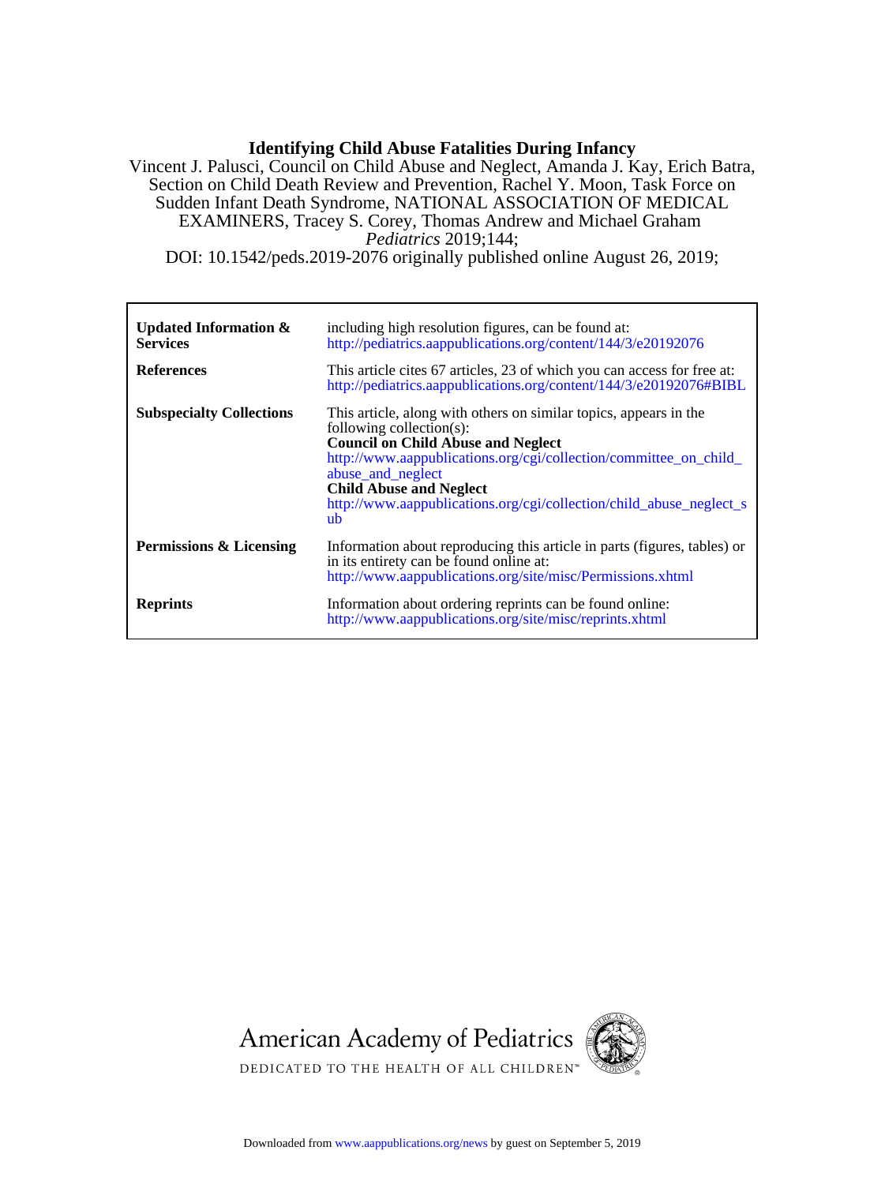### **Identifying Child Abuse Fatalities During Infancy**

*Pediatrics* 2019;144; EXAMINERS, Tracey S. Corey, Thomas Andrew and Michael Graham Sudden Infant Death Syndrome, NATIONAL ASSOCIATION OF MEDICAL Section on Child Death Review and Prevention, Rachel Y. Moon, Task Force on Vincent J. Palusci, Council on Child Abuse and Neglect, Amanda J. Kay, Erich Batra,

DOI: 10.1542/peds.2019-2076 originally published online August 26, 2019;

| Updated Information $\&$<br><b>Services</b><br><b>References</b> | including high resolution figures, can be found at:<br>http://pediatrics.aappublications.org/content/144/3/e20192076<br>This article cites 67 articles, 23 of which you can access for free at:<br>http://pediatrics.aappublications.org/content/144/3/e20192076#BIBL                                                                               |
|------------------------------------------------------------------|-----------------------------------------------------------------------------------------------------------------------------------------------------------------------------------------------------------------------------------------------------------------------------------------------------------------------------------------------------|
| <b>Subspecialty Collections</b>                                  | This article, along with others on similar topics, appears in the<br>following collection(s):<br><b>Council on Child Abuse and Neglect</b><br>http://www.aappublications.org/cgi/collection/committee_on_child_<br>abuse_and_neglect<br><b>Child Abuse and Neglect</b><br>http://www.aappublications.org/cgi/collection/child_abuse_neglect_s<br>ub |
| Permissions & Licensing                                          | Information about reproducing this article in parts (figures, tables) or<br>in its entirety can be found online at:<br>http://www.aappublications.org/site/misc/Permissions.xhtml                                                                                                                                                                   |
| <b>Reprints</b>                                                  | Information about ordering reprints can be found online:<br>http://www.aappublications.org/site/misc/reprints.xhtml                                                                                                                                                                                                                                 |